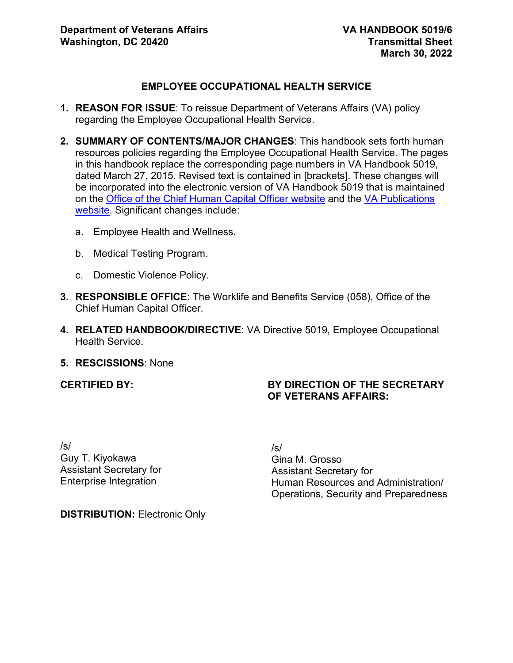# **EMPLOYEE OCCUPATIONAL HEALTH SERVICE**

- **1. REASON FOR ISSUE**: To reissue Department of Veterans Affairs (VA) policy regarding the Employee Occupational Health Service.
- **2. SUMMARY OF CONTENTS/MAJOR CHANGES**: This handbook sets forth human resources policies regarding the Employee Occupational Health Service. The pages in this handbook replace the corresponding page numbers in VA Handbook 5019, dated March 27, 2015. Revised text is contained in [brackets]. These changes will be incorporated into the electronic version of VA Handbook 5019 that is maintained on the [Office of the Chief Human Capital Officer website](https://vaww.va.gov/OHRM/HRLibrary/Dir-Policy.htm) and the [VA Publications](https://vaww.va.gov/vapubs/search_action.cfm?dType=1)  [website.](https://vaww.va.gov/vapubs/search_action.cfm?dType=1) Significant changes include:
	- a. Employee Health and Wellness.
	- b. Medical Testing Program.
	- c. Domestic Violence Policy.
- **3. RESPONSIBLE OFFICE**: The Worklife and Benefits Service (058), Office of the Chief Human Capital Officer.
- **4. RELATED HANDBOOK/DIRECTIVE**: VA Directive 5019, Employee Occupational Health Service.
- **5. RESCISSIONS**: None

# **CERTIFIED BY:**

# **BY DIRECTION OF THE SECRETARY OF VETERANS AFFAIRS:**

/s/ Guy T. Kiyokawa Assistant Secretary for Enterprise Integration

/s/ Gina M. Grosso Assistant Secretary for Human Resources and Administration/ Operations, Security and Preparedness

**DISTRIBUTION:** Electronic Only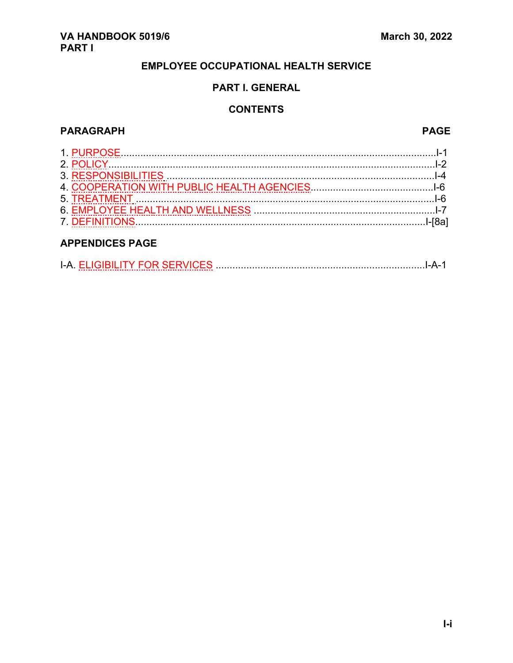# **EMPLOYEE OCCUPATIONAL HEALTH SERVICE**

# **PART I. GENERAL**

# **CONTENTS**

# **PARAGRAPH**

# **PAGE**

# **APPENDICES PAGE**

| I-A. EL<br>-IUIDILITT FUR JERVIULU |  |
|------------------------------------|--|
|------------------------------------|--|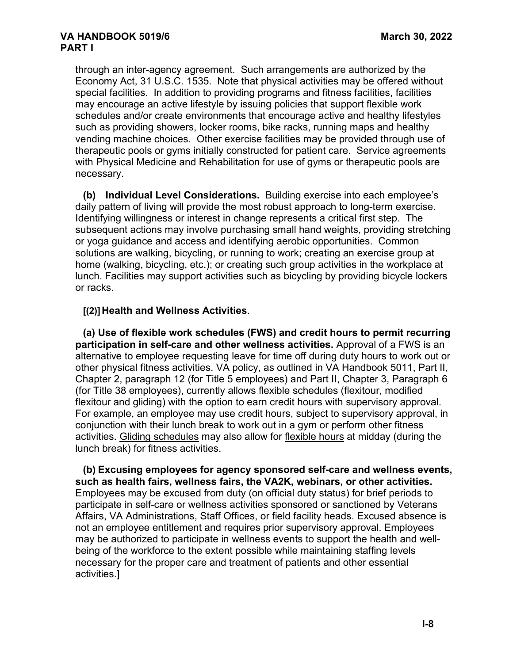through an inter-agency agreement. Such arrangements are authorized by the Economy Act, 31 U.S.C. 1535. Note that physical activities may be offered without special facilities. In addition to providing programs and fitness facilities, facilities may encourage an active lifestyle by issuing policies that support flexible work schedules and/or create environments that encourage active and healthy lifestyles such as providing showers, locker rooms, bike racks, running maps and healthy vending machine choices. Other exercise facilities may be provided through use of therapeutic pools or gyms initially constructed for patient care. Service agreements with Physical Medicine and Rehabilitation for use of gyms or therapeutic pools are necessary.

**(b) Individual Level Considerations.** Building exercise into each employee's daily pattern of living will provide the most robust approach to long-term exercise. Identifying willingness or interest in change represents a critical first step. The subsequent actions may involve purchasing small hand weights, providing stretching or yoga guidance and access and identifying aerobic opportunities. Common solutions are walking, bicycling, or running to work; creating an exercise group at home (walking, bicycling, etc.); or creating such group activities in the workplace at lunch. Facilities may support activities such as bicycling by providing bicycle lockers or racks.

#### **[(2)]Health and Wellness Activities**.

**(a) Use of flexible work schedules (FWS) and credit hours to permit recurring participation in self-care and other wellness activities.** Approval of a FWS is an alternative to employee requesting leave for time off during duty hours to work out or other physical fitness activities. VA policy, as outlined in VA Handbook 5011, Part II, Chapter 2, paragraph 12 (for Title 5 employees) and Part II, Chapter 3, Paragraph 6 (for Title 38 employees), currently allows flexible schedules (flexitour, modified flexitour and gliding) with the option to earn credit hours with supervisory approval. For example, an employee may use credit hours, subject to supervisory approval, in conjunction with their lunch break to work out in a gym or perform other fitness activities. [Gliding schedules](https://gcc01.safelinks.protection.outlook.com/?url=https%3A%2F%2Fwww.opm.gov%2Fpolicy-data-oversight%2Fpay-leave%2Freference-materials%2Fhandbooks%2Falternative-work-schedules%2F%23Gliding%2520Schedule&data=04%7C01%7C%7Ca4052ee956064144e57f08d8cdcbce74%7Ce95f1b23abaf45ee821db7ab251ab3bf%7C0%7C0%7C637485622508608179%7CUnknown%7CTWFpbGZsb3d8eyJWIjoiMC4wLjAwMDAiLCJQIjoiV2luMzIiLCJBTiI6Ik1haWwiLCJXVCI6Mn0%3D%7C1000&sdata=JkljWfzeqGoUY6s6F8f76G3KnBY9TEN9OlJ41cRVhwg%3D&reserved=0) may also allow for [flexible hours](https://gcc01.safelinks.protection.outlook.com/?url=https%3A%2F%2Fwww.opm.gov%2Fpolicy-data-oversight%2Fpay-leave%2Freference-materials%2Fhandbooks%2Falternative-work-schedules%2F%23Flexible%2520hours&data=04%7C01%7C%7Ca4052ee956064144e57f08d8cdcbce74%7Ce95f1b23abaf45ee821db7ab251ab3bf%7C0%7C0%7C637485622508618131%7CUnknown%7CTWFpbGZsb3d8eyJWIjoiMC4wLjAwMDAiLCJQIjoiV2luMzIiLCJBTiI6Ik1haWwiLCJXVCI6Mn0%3D%7C1000&sdata=m6H7zCJUzpNxKpltcV9rWVHghFRTAlp01iMmoc%2B3wf4%3D&reserved=0) at midday (during the lunch break) for fitness activities.

**(b) Excusing employees for agency sponsored self-care and wellness events, such as health fairs, wellness fairs, the VA2K, webinars, or other activities.** Employees may be excused from duty (on official duty status) for brief periods to participate in self-care or wellness activities sponsored or sanctioned by Veterans Affairs, VA Administrations, Staff Offices, or field facility heads. Excused absence is not an employee entitlement and requires prior supervisory approval. Employees may be authorized to participate in wellness events to support the health and wellbeing of the workforce to the extent possible while maintaining staffing levels necessary for the proper care and treatment of patients and other essential activities.]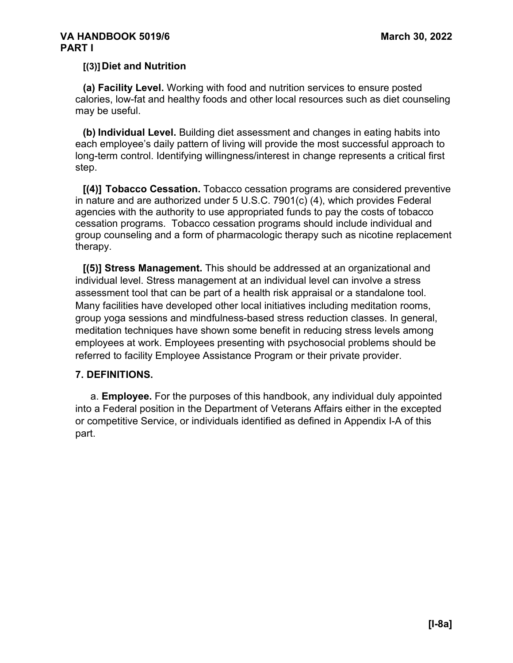### **[(3)]Diet and Nutrition**

**(a) Facility Level.** Working with food and nutrition services to ensure posted calories, low-fat and healthy foods and other local resources such as diet counseling may be useful.

**(b) Individual Level.** Building diet assessment and changes in eating habits into each employee's daily pattern of living will provide the most successful approach to long-term control. Identifying willingness/interest in change represents a critical first step.

**[(4)] Tobacco Cessation.** Tobacco cessation programs are considered preventive in nature and are authorized under 5 U.S.C. 7901(c) (4), which provides Federal agencies with the authority to use appropriated funds to pay the costs of tobacco cessation programs. Tobacco cessation programs should include individual and group counseling and a form of pharmacologic therapy such as nicotine replacement therapy.

**[(5)] Stress Management.** This should be addressed at an organizational and individual level. Stress management at an individual level can involve a stress assessment tool that can be part of a health risk appraisal or a standalone tool. Many facilities have developed other local initiatives including meditation rooms, group yoga sessions and mindfulness-based stress reduction classes. In general, meditation techniques have shown some benefit in reducing stress levels among employees at work. Employees presenting with psychosocial problems should be referred to facility Employee Assistance Program or their private provider.

#### **7. DEFINITIONS.**

a. **Employee.** For the purposes of this handbook, any individual duly appointed into a Federal position in the Department of Veterans Affairs either in the excepted or competitive Service, or individuals identified as defined in Appendix I-A of this part.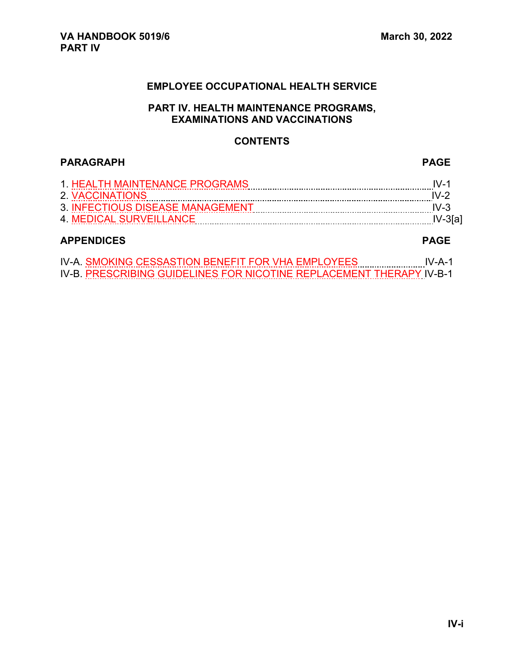# **EMPLOYEE OCCUPATIONAL HEALTH SERVICE**

#### **PART IV. HEALTH MAINTENANCE PROGRAMS, EXAMINATIONS AND VACCINATIONS**

### **CONTENTS**

# **PARAGRAPH PAGE**

| <b>APPENDICES</b>                | <b>PAGE</b> |
|----------------------------------|-------------|
| 4. MEDICAL SURVEILLANCE          |             |
| 3. INFECTIOUS DISEASE MANAGEMENT |             |
| 2 VACCINATIONS                   |             |
| 1. HEALTH MAINTENANCE PROGRAMS   |             |
|                                  |             |

| IV-A. SMOKING CESSASTION BENEFIT FOR VHA EMPLOYEES<br>.              |  |
|----------------------------------------------------------------------|--|
| IV-B. PRESCRIBING GUIDELINES FOR NICOTINE REPLACEMENT THERAPY IV-B-1 |  |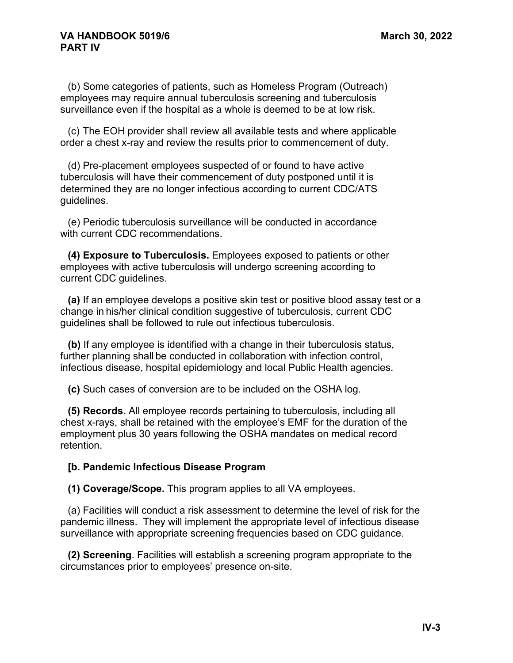(b) Some categories of patients, such as Homeless Program (Outreach) employees may require annual tuberculosis screening and tuberculosis surveillance even if the hospital as a whole is deemed to be at low risk.

(c) The EOH provider shall review all available tests and where applicable order a chest x-ray and review the results prior to commencement of duty.

(d) Pre-placement employees suspected of or found to have active tuberculosis will have their commencement of duty postponed until it is determined they are no longer infectious according to current CDC/ATS guidelines.

(e) Periodic tuberculosis surveillance will be conducted in accordance with current CDC recommendations.

**(4) Exposure to Tuberculosis.** Employees exposed to patients or other employees with active tuberculosis will undergo screening according to current CDC guidelines.

**(a)** If an employee develops a positive skin test or positive blood assay test or a change in his/her clinical condition suggestive of tuberculosis, current CDC guidelines shall be followed to rule out infectious tuberculosis.

**(b)** If any employee is identified with a change in their tuberculosis status, further planning shall be conducted in collaboration with infection control, infectious disease, hospital epidemiology and local Public Health agencies.

**(c)** Such cases of conversion are to be included on the OSHA log.

**(5) Records.** All employee records pertaining to tuberculosis, including all chest x-rays, shall be retained with the employee's EMF for the duration of the employment plus 30 years following the OSHA mandates on medical record retention.

#### **[b. Pandemic Infectious Disease Program**

**(1) Coverage/Scope.** This program applies to all VA employees.

(a) Facilities will conduct a risk assessment to determine the level of risk for the pandemic illness. They will implement the appropriate level of infectious disease surveillance with appropriate screening frequencies based on CDC guidance.

**(2) Screening**. Facilities will establish a screening program appropriate to the circumstances prior to employees' presence on-site.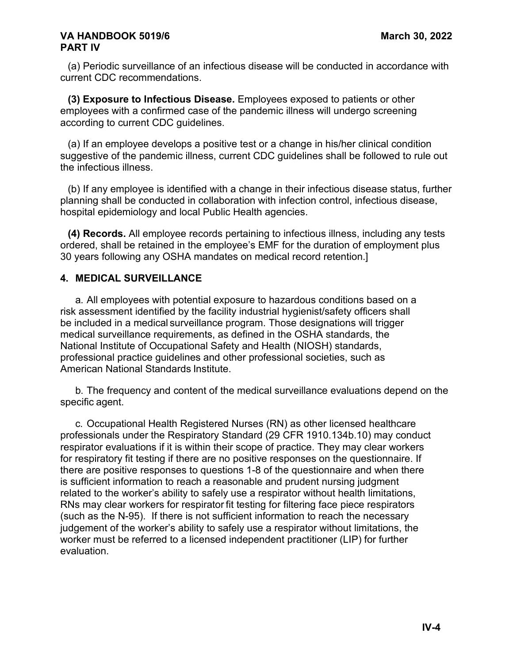(a) Periodic surveillance of an infectious disease will be conducted in accordance with current CDC recommendations.

**(3) Exposure to Infectious Disease.** Employees exposed to patients or other employees with a confirmed case of the pandemic illness will undergo screening according to current CDC guidelines.

(a) If an employee develops a positive test or a change in his/her clinical condition suggestive of the pandemic illness, current CDC guidelines shall be followed to rule out the infectious illness.

(b) If any employee is identified with a change in their infectious disease status, further planning shall be conducted in collaboration with infection control, infectious disease, hospital epidemiology and local Public Health agencies.

**(4) Records.** All employee records pertaining to infectious illness, including any tests ordered, shall be retained in the employee's EMF for the duration of employment plus 30 years following any OSHA mandates on medical record retention.]

#### **4. MEDICAL SURVEILLANCE**

a. All employees with potential exposure to hazardous conditions based on a risk assessment identified by the facility industrial hygienist/safety officers shall be included in a medical surveillance program. Those designations will trigger medical surveillance requirements, as defined in the OSHA standards, the National Institute of Occupational Safety and Health (NIOSH) standards, professional practice guidelines and other professional societies, such as American National Standards Institute.

b. The frequency and content of the medical surveillance evaluations depend on the specific agent.

c. Occupational Health Registered Nurses (RN) as other licensed healthcare professionals under the Respiratory Standard (29 CFR 1910.134b.10) may conduct respirator evaluations if it is within their scope of practice. They may clear workers for respiratory fit testing if there are no positive responses on the questionnaire. If there are positive responses to questions 1-8 of the questionnaire and when there is sufficient information to reach a reasonable and prudent nursing judgment related to the worker's ability to safely use a respirator without health limitations, RNs may clear workers for respirator fit testing for filtering face piece respirators (such as the N-95). If there is not sufficient information to reach the necessary judgement of the worker's ability to safely use a respirator without limitations, the worker must be referred to a licensed independent practitioner (LIP) for further evaluation.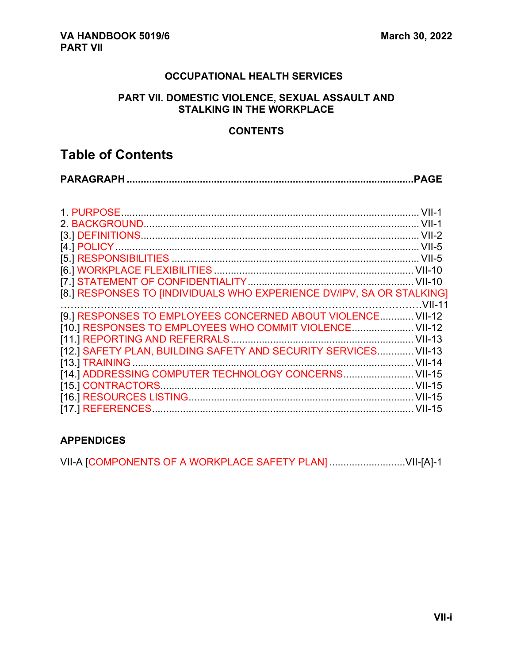### **OCCUPATIONAL HEALTH SERVICES**

# **PART VII. DOMESTIC VIOLENCE, SEXUAL ASSAULT AND STALKING IN THE WORKPLACE**

# **CONTENTS**

# **Table of Contents**

| [8.] RESPONSES TO [INDIVIDUALS WHO EXPERIENCE DV/IPV, SA OR STALKING] |  |
|-----------------------------------------------------------------------|--|
|                                                                       |  |
| [9.] RESPONSES TO EMPLOYEES CONCERNED ABOUT VIOLENCE VII-12           |  |
| [10.] RESPONSES TO EMPLOYEES WHO COMMIT VIOLENCE VII-12               |  |
|                                                                       |  |
| [12.] SAFETY PLAN, BUILDING SAFETY AND SECURITY SERVICES VII-13       |  |
|                                                                       |  |
| [14.] ADDRESSING COMPUTER TECHNOLOGY CONCERNS VII-15                  |  |
|                                                                       |  |
|                                                                       |  |
|                                                                       |  |

#### **APPENDICES**

|  |  | VII-A [COMPONENTS OF A WORKPLACE SAFETY PLAN] VII-[A]-1 |
|--|--|---------------------------------------------------------|
|  |  |                                                         |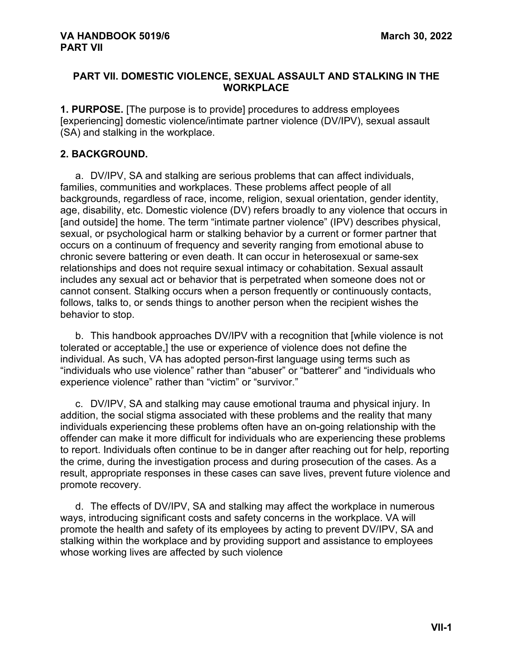#### **PART VII. DOMESTIC VIOLENCE, SEXUAL ASSAULT AND STALKING IN THE WORKPLACE**

**1. PURPOSE.** [The purpose is to provide] procedures to address employees [experiencing] domestic violence/intimate partner violence (DV/IPV), sexual assault (SA) and stalking in the workplace.

#### **2. BACKGROUND.**

a. DV/IPV, SA and stalking are serious problems that can affect individuals, families, communities and workplaces. These problems affect people of all backgrounds, regardless of race, income, religion, sexual orientation, gender identity, age, disability, etc. Domestic violence (DV) refers broadly to any violence that occurs in [and outside] the home. The term "intimate partner violence" (IPV) describes physical, sexual, or psychological harm or stalking behavior by a current or former partner that occurs on a continuum of frequency and severity ranging from emotional abuse to chronic severe battering or even death. It can occur in heterosexual or same-sex relationships and does not require sexual intimacy or cohabitation. Sexual assault includes any sexual act or behavior that is perpetrated when someone does not or cannot consent. Stalking occurs when a person frequently or continuously contacts, follows, talks to, or sends things to another person when the recipient wishes the behavior to stop.

b. This handbook approaches DV/IPV with a recognition that [while violence is not tolerated or acceptable,] the use or experience of violence does not define the individual. As such, VA has adopted person-first language using terms such as "individuals who use violence" rather than "abuser" or "batterer" and "individuals who experience violence" rather than "victim" or "survivor."

c. DV/IPV, SA and stalking may cause emotional trauma and physical injury. In addition, the social stigma associated with these problems and the reality that many individuals experiencing these problems often have an on-going relationship with the offender can make it more difficult for individuals who are experiencing these problems to report. Individuals often continue to be in danger after reaching out for help, reporting the crime, during the investigation process and during prosecution of the cases. As a result, appropriate responses in these cases can save lives, prevent future violence and promote recovery.

d. The effects of DV/IPV, SA and stalking may affect the workplace in numerous ways, introducing significant costs and safety concerns in the workplace. VA will promote the health and safety of its employees by acting to prevent DV/IPV, SA and stalking within the workplace and by providing support and assistance to employees whose working lives are affected by such violence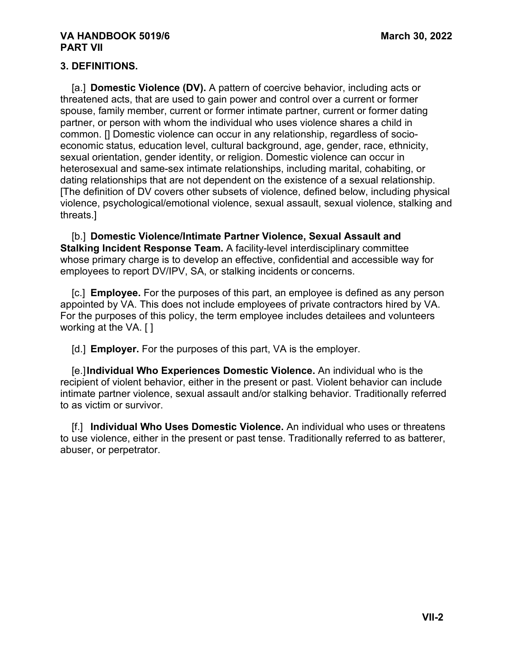### **3. DEFINITIONS.**

[a.] **Domestic Violence (DV).** A pattern of coercive behavior, including acts or threatened acts, that are used to gain power and control over a current or former spouse, family member, current or former intimate partner, current or former dating partner, or person with whom the individual who uses violence shares a child in common. [] Domestic violence can occur in any relationship, regardless of socioeconomic status, education level, cultural background, age, gender, race, ethnicity, sexual orientation, gender identity, or religion. Domestic violence can occur in heterosexual and same-sex intimate relationships, including marital, cohabiting, or dating relationships that are not dependent on the existence of a sexual relationship. [The definition of DV covers other subsets of violence, defined below, including physical violence, psychological/emotional violence, sexual assault, sexual violence, stalking and threats.]

[b.] **Domestic Violence/Intimate Partner Violence, Sexual Assault and Stalking Incident Response Team.** A facility-level interdisciplinary committee whose primary charge is to develop an effective, confidential and accessible way for employees to report DV/IPV, SA, or stalking incidents or concerns.

[c.] **Employee.** For the purposes of this part, an employee is defined as any person appointed by VA. This does not include employees of private contractors hired by VA. For the purposes of this policy, the term employee includes detailees and volunteers working at the VA. [ ]

[d.] **Employer.** For the purposes of this part, VA is the employer.

[e.]**Individual Who Experiences Domestic Violence.** An individual who is the recipient of violent behavior, either in the present or past. Violent behavior can include intimate partner violence, sexual assault and/or stalking behavior. Traditionally referred to as victim or survivor.

[f.] **Individual Who Uses Domestic Violence.** An individual who uses or threatens to use violence, either in the present or past tense. Traditionally referred to as batterer, abuser, or perpetrator.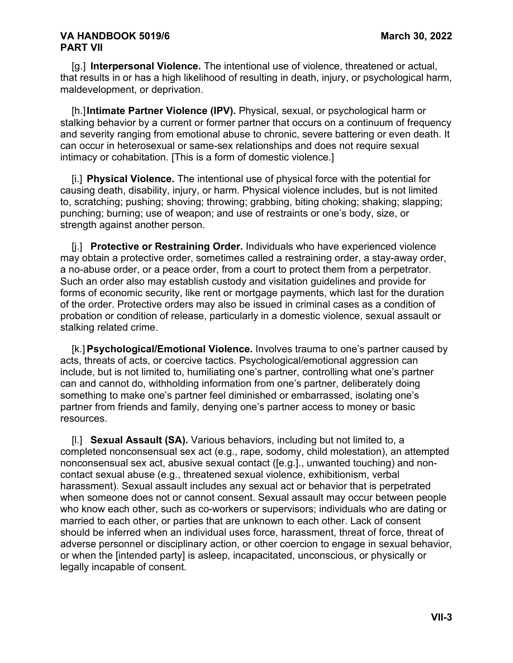[g.] **Interpersonal Violence.** The intentional use of violence, threatened or actual, that results in or has a high likelihood of resulting in death, injury, or psychological harm, maldevelopment, or deprivation.

[h.]**Intimate Partner Violence (IPV).** Physical, sexual, or psychological harm or stalking behavior by a current or former partner that occurs on a continuum of frequency and severity ranging from emotional abuse to chronic, severe battering or even death. It can occur in heterosexual or same-sex relationships and does not require sexual intimacy or cohabitation. [This is a form of domestic violence.]

[i.] **Physical Violence.** The intentional use of physical force with the potential for causing death, disability, injury, or harm. Physical violence includes, but is not limited to, scratching; pushing; shoving; throwing; grabbing, biting choking; shaking; slapping; punching; burning; use of weapon; and use of restraints or one's body, size, or strength against another person.

[j.] **Protective or Restraining Order.** Individuals who have experienced violence may obtain a protective order, sometimes called a restraining order, a stay-away order, a no-abuse order, or a peace order, from a court to protect them from a perpetrator. Such an order also may establish custody and visitation guidelines and provide for forms of economic security, like rent or mortgage payments, which last for the duration of the order. Protective orders may also be issued in criminal cases as a condition of probation or condition of release, particularly in a domestic violence, sexual assault or stalking related crime.

[k.]**Psychological/Emotional Violence.** Involves trauma to one's partner caused by acts, threats of acts, or coercive tactics. Psychological/emotional aggression can include, but is not limited to, humiliating one's partner, controlling what one's partner can and cannot do, withholding information from one's partner, deliberately doing something to make one's partner feel diminished or embarrassed, isolating one's partner from friends and family, denying one's partner access to money or basic resources.

[l.] **Sexual Assault (SA).** Various behaviors, including but not limited to, a completed nonconsensual sex act (e.g., rape, sodomy, child molestation), an attempted nonconsensual sex act, abusive sexual contact ([e.g.]., unwanted touching) and noncontact sexual abuse (e.g., threatened sexual violence, exhibitionism, verbal harassment). Sexual assault includes any sexual act or behavior that is perpetrated when someone does not or cannot consent. Sexual assault may occur between people who know each other, such as co-workers or supervisors; individuals who are dating or married to each other, or parties that are unknown to each other. Lack of consent should be inferred when an individual uses force, harassment, threat of force, threat of adverse personnel or disciplinary action, or other coercion to engage in sexual behavior, or when the [intended party] is asleep, incapacitated, unconscious, or physically or legally incapable of consent.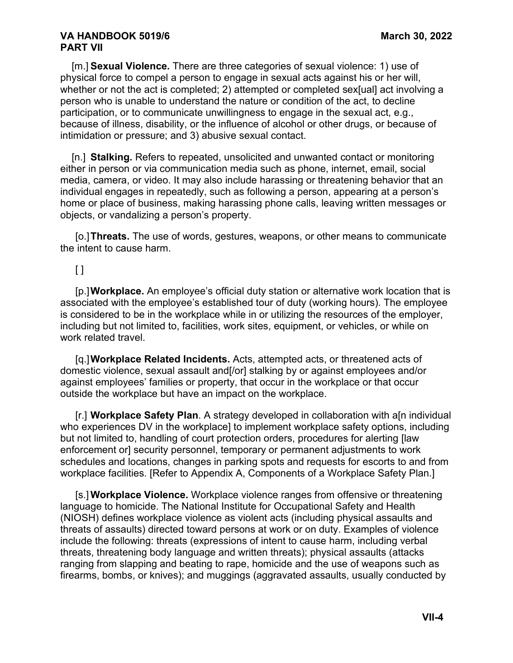[m.] **Sexual Violence.** There are three categories of sexual violence: 1) use of physical force to compel a person to engage in sexual acts against his or her will, whether or not the act is completed; 2) attempted or completed sex[ual] act involving a person who is unable to understand the nature or condition of the act, to decline participation, or to communicate unwillingness to engage in the sexual act, e.g., because of illness, disability, or the influence of alcohol or other drugs, or because of intimidation or pressure; and 3) abusive sexual contact.

[n.] **Stalking.** Refers to repeated, unsolicited and unwanted contact or monitoring either in person or via communication media such as phone, internet, email, social media, camera, or video. It may also include harassing or threatening behavior that an individual engages in repeatedly, such as following a person, appearing at a person's home or place of business, making harassing phone calls, leaving written messages or objects, or vandalizing a person's property.

[o.]**Threats.** The use of words, gestures, weapons, or other means to communicate the intent to cause harm.

# $\lbrack$

[p.]**Workplace.** An employee's official duty station or alternative work location that is associated with the employee's established tour of duty (working hours). The employee is considered to be in the workplace while in or utilizing the resources of the employer, including but not limited to, facilities, work sites, equipment, or vehicles, or while on work related travel.

[q.]**Workplace Related Incidents.** Acts, attempted acts, or threatened acts of domestic violence, sexual assault and[/or] stalking by or against employees and/or against employees' families or property, that occur in the workplace or that occur outside the workplace but have an impact on the workplace.

[r.] **Workplace Safety Plan**. A strategy developed in collaboration with a[n individual who experiences DV in the workplace] to implement workplace safety options, including but not limited to, handling of court protection orders, procedures for alerting [law enforcement or] security personnel, temporary or permanent adjustments to work schedules and locations, changes in parking spots and requests for escorts to and from workplace facilities. [Refer to Appendix A, Components of a Workplace Safety Plan.]

[s.] **Workplace Violence.** Workplace violence ranges from offensive or threatening language to homicide. The National Institute for Occupational Safety and Health (NIOSH) defines workplace violence as violent acts (including physical assaults and threats of assaults) directed toward persons at work or on duty. Examples of violence include the following: threats (expressions of intent to cause harm, including verbal threats, threatening body language and written threats); physical assaults (attacks ranging from slapping and beating to rape, homicide and the use of weapons such as firearms, bombs, or knives); and muggings (aggravated assaults, usually conducted by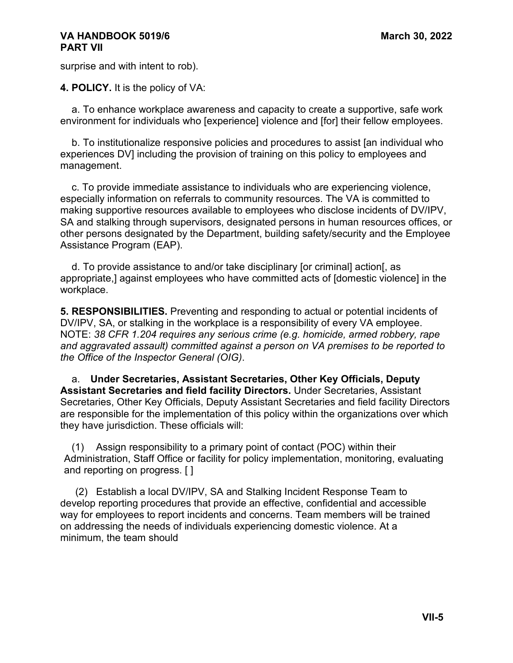surprise and with intent to rob).

**4. POLICY.** It is the policy of VA:

a. To enhance workplace awareness and capacity to create a supportive, safe work environment for individuals who [experience] violence and [for] their fellow employees.

b. To institutionalize responsive policies and procedures to assist [an individual who experiences DV] including the provision of training on this policy to employees and management.

c. To provide immediate assistance to individuals who are experiencing violence, especially information on referrals to community resources. The VA is committed to making supportive resources available to employees who disclose incidents of DV/IPV, SA and stalking through supervisors, designated persons in human resources offices, or other persons designated by the Department, building safety/security and the Employee Assistance Program (EAP).

d. To provide assistance to and/or take disciplinary [or criminal] action[, as appropriate,] against employees who have committed acts of [domestic violence] in the workplace.

**5. RESPONSIBILITIES.** Preventing and responding to actual or potential incidents of DV/IPV, SA, or stalking in the workplace is a responsibility of every VA employee. NOTE: *38 CFR 1.204 requires any serious crime (e.g. homicide, armed robbery, rape and aggravated assault) committed against a person on VA premises to be reported to the Office of the Inspector General (OIG)*.

a. **Under Secretaries, Assistant Secretaries, Other Key Officials, Deputy Assistant Secretaries and field facility Directors.** Under Secretaries, Assistant Secretaries, Other Key Officials, Deputy Assistant Secretaries and field facility Directors are responsible for the implementation of this policy within the organizations over which they have jurisdiction. These officials will:

(1) Assign responsibility to a primary point of contact (POC) within their Administration, Staff Office or facility for policy implementation, monitoring, evaluating and reporting on progress. [ ]

(2) Establish a local DV/IPV, SA and Stalking Incident Response Team to develop reporting procedures that provide an effective, confidential and accessible way for employees to report incidents and concerns. Team members will be trained on addressing the needs of individuals experiencing domestic violence. At a minimum, the team should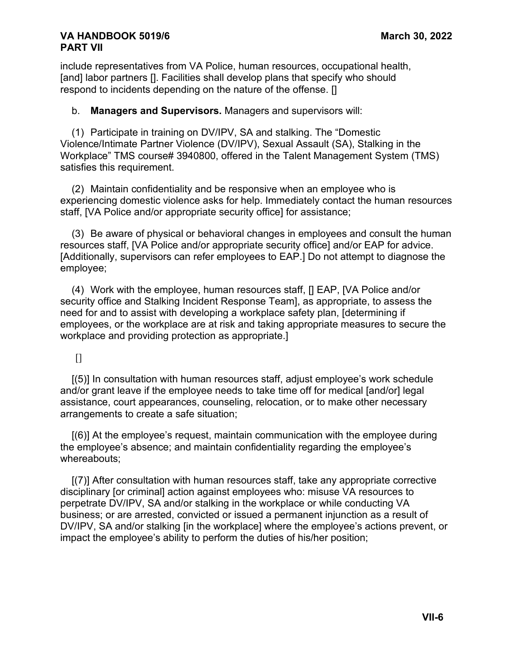include representatives from VA Police, human resources, occupational health, [and] labor partners []. Facilities shall develop plans that specify who should respond to incidents depending on the nature of the offense. []

b. **Managers and Supervisors.** Managers and supervisors will:

(1) Participate in training on DV/IPV, SA and stalking. The "Domestic Violence/Intimate Partner Violence (DV/IPV), Sexual Assault (SA), Stalking in the Workplace" TMS course# 3940800, offered in the Talent Management System (TMS) satisfies this requirement.

(2) Maintain confidentiality and be responsive when an employee who is experiencing domestic violence asks for help. Immediately contact the human resources staff, [VA Police and/or appropriate security office] for assistance;

(3) Be aware of physical or behavioral changes in employees and consult the human resources staff, [VA Police and/or appropriate security office] and/or EAP for advice. [Additionally, supervisors can refer employees to EAP.] Do not attempt to diagnose the employee;

(4) Work with the employee, human resources staff, [] EAP, [VA Police and/or security office and Stalking Incident Response Team], as appropriate, to assess the need for and to assist with developing a workplace safety plan, [determining if employees, or the workplace are at risk and taking appropriate measures to secure the workplace and providing protection as appropriate.]

 $\Box$ 

[(5)] In consultation with human resources staff, adjust employee's work schedule and/or grant leave if the employee needs to take time off for medical [and/or] legal assistance, court appearances, counseling, relocation, or to make other necessary arrangements to create a safe situation;

[(6)] At the employee's request, maintain communication with the employee during the employee's absence; and maintain confidentiality regarding the employee's whereabouts;

[(7)] After consultation with human resources staff, take any appropriate corrective disciplinary [or criminal] action against employees who: misuse VA resources to perpetrate DV/IPV, SA and/or stalking in the workplace or while conducting VA business; or are arrested, convicted or issued a permanent injunction as a result of DV/IPV, SA and/or stalking [in the workplace] where the employee's actions prevent, or impact the employee's ability to perform the duties of his/her position;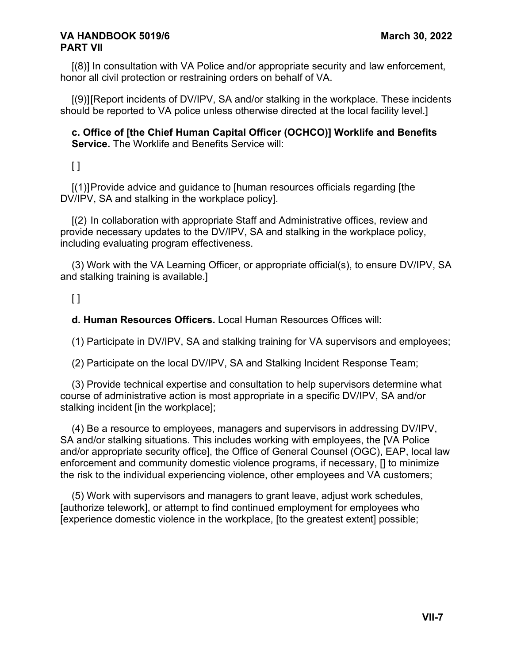[(8)] In consultation with VA Police and/or appropriate security and law enforcement, honor all civil protection or restraining orders on behalf of VA.

[(9)][Report incidents of DV/IPV, SA and/or stalking in the workplace. These incidents should be reported to VA police unless otherwise directed at the local facility level.]

**c. Office of [the Chief Human Capital Officer (OCHCO)] Worklife and Benefits Service.** The Worklife and Benefits Service will:

 $\lceil$   $\rceil$ 

[(1)]Provide advice and guidance to [human resources officials regarding [the DV/IPV, SA and stalking in the workplace policy].

[(2) In collaboration with appropriate Staff and Administrative offices, review and provide necessary updates to the DV/IPV, SA and stalking in the workplace policy, including evaluating program effectiveness.

(3) Work with the VA Learning Officer, or appropriate official(s), to ensure DV/IPV, SA and stalking training is available.]

# $\lbrack$

**d. Human Resources Officers.** Local Human Resources Offices will:

(1) Participate in DV/IPV, SA and stalking training for VA supervisors and employees;

(2) Participate on the local DV/IPV, SA and Stalking Incident Response Team;

(3) Provide technical expertise and consultation to help supervisors determine what course of administrative action is most appropriate in a specific DV/IPV, SA and/or stalking incident [in the workplace];

(4) Be a resource to employees, managers and supervisors in addressing DV/IPV, SA and/or stalking situations. This includes working with employees, the [VA Police and/or appropriate security office], the Office of General Counsel (OGC), EAP, local law enforcement and community domestic violence programs, if necessary, [] to minimize the risk to the individual experiencing violence, other employees and VA customers;

(5) Work with supervisors and managers to grant leave, adjust work schedules, [authorize telework], or attempt to find continued employment for employees who [experience domestic violence in the workplace, [to the greatest extent] possible;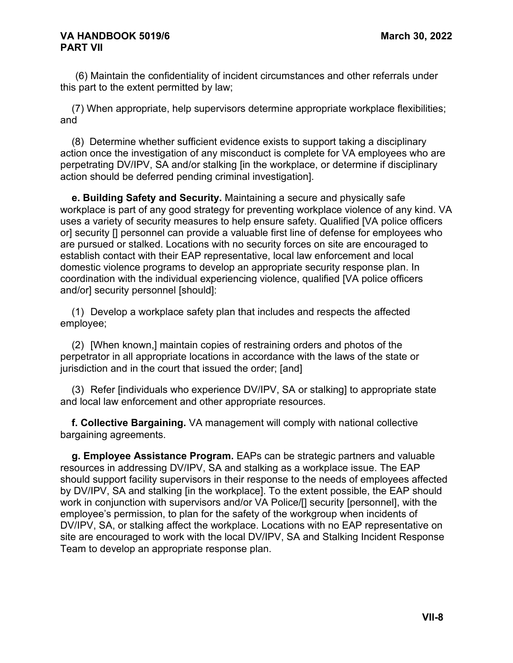(6) Maintain the confidentiality of incident circumstances and other referrals under this part to the extent permitted by law;

(7) When appropriate, help supervisors determine appropriate workplace flexibilities; and

(8) Determine whether sufficient evidence exists to support taking a disciplinary action once the investigation of any misconduct is complete for VA employees who are perpetrating DV/IPV, SA and/or stalking [in the workplace, or determine if disciplinary action should be deferred pending criminal investigation].

**e. Building Safety and Security.** Maintaining a secure and physically safe workplace is part of any good strategy for preventing workplace violence of any kind. VA uses a variety of security measures to help ensure safety. Qualified [VA police officers or] security [] personnel can provide a valuable first line of defense for employees who are pursued or stalked. Locations with no security forces on site are encouraged to establish contact with their EAP representative, local law enforcement and local domestic violence programs to develop an appropriate security response plan. In coordination with the individual experiencing violence, qualified [VA police officers and/or] security personnel [should]:

(1) Develop a workplace safety plan that includes and respects the affected employee;

(2) [When known,] maintain copies of restraining orders and photos of the perpetrator in all appropriate locations in accordance with the laws of the state or jurisdiction and in the court that issued the order; [and]

(3) Refer [individuals who experience DV/IPV, SA or stalking] to appropriate state and local law enforcement and other appropriate resources.

**f. Collective Bargaining.** VA management will comply with national collective bargaining agreements.

**g. Employee Assistance Program.** EAPs can be strategic partners and valuable resources in addressing DV/IPV, SA and stalking as a workplace issue. The EAP should support facility supervisors in their response to the needs of employees affected by DV/IPV, SA and stalking [in the workplace]. To the extent possible, the EAP should work in conjunction with supervisors and/or VA Police/[] security [personnel], with the employee's permission, to plan for the safety of the workgroup when incidents of DV/IPV, SA, or stalking affect the workplace. Locations with no EAP representative on site are encouraged to work with the local DV/IPV, SA and Stalking Incident Response Team to develop an appropriate response plan.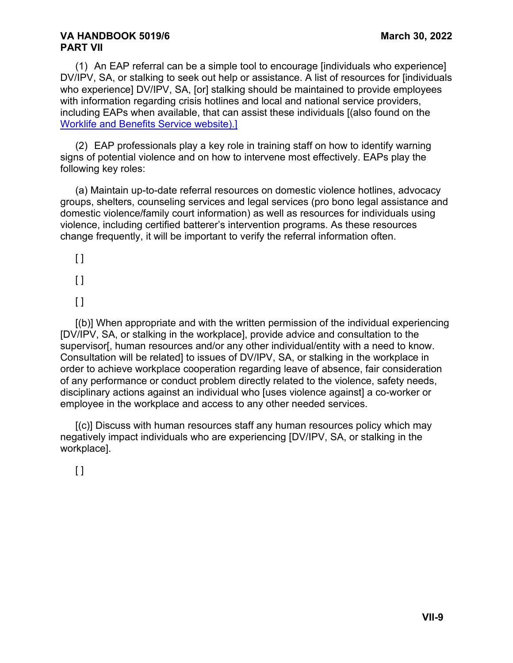(1) An EAP referral can be a simple tool to encourage [individuals who experience] DV/IPV, SA, or stalking to seek out help or assistance. A list of resources for [individuals who experience] DV/IPV, SA, [or] stalking should be maintained to provide employees with information regarding crisis hotlines and local and national service providers, including EAPs when available, that can assist these individuals [(also found on the [Worklife and Benefits Service website\)](https://vaww.va.gov/OHRM/WorkLife/Domestic_Violence.asp).]

(2) EAP professionals play a key role in training staff on how to identify warning signs of potential violence and on how to intervene most effectively. EAPs play the following key roles:

(a) Maintain up-to-date referral resources on domestic violence hotlines, advocacy groups, shelters, counseling services and legal services (pro bono legal assistance and domestic violence/family court information) as well as resources for individuals using violence, including certified batterer's intervention programs. As these resources change frequently, it will be important to verify the referral information often.

[ ]  $\lbrack$ 

[ ]

[(b)] When appropriate and with the written permission of the individual experiencing [DV/IPV, SA, or stalking in the workplace], provide advice and consultation to the supervisor[, human resources and/or any other individual/entity with a need to know. Consultation will be related] to issues of DV/IPV, SA, or stalking in the workplace in order to achieve workplace cooperation regarding leave of absence, fair consideration of any performance or conduct problem directly related to the violence, safety needs, disciplinary actions against an individual who [uses violence against] a co-worker or employee in the workplace and access to any other needed services.

[(c)] Discuss with human resources staff any human resources policy which may negatively impact individuals who are experiencing [DV/IPV, SA, or stalking in the workplace].

 $[1]$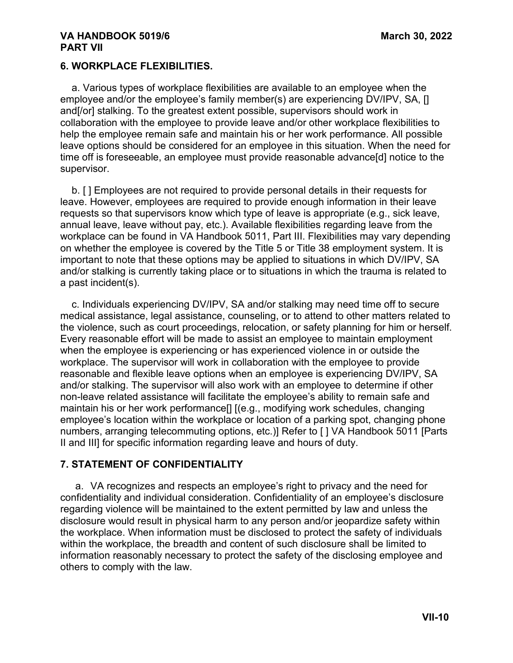#### **6. WORKPLACE FLEXIBILITIES.**

a. Various types of workplace flexibilities are available to an employee when the employee and/or the employee's family member(s) are experiencing DV/IPV, SA, [] and[/or] stalking. To the greatest extent possible, supervisors should work in collaboration with the employee to provide leave and/or other workplace flexibilities to help the employee remain safe and maintain his or her work performance. All possible leave options should be considered for an employee in this situation. When the need for time off is foreseeable, an employee must provide reasonable advance[d] notice to the supervisor.

b. [ ] Employees are not required to provide personal details in their requests for leave. However, employees are required to provide enough information in their leave requests so that supervisors know which type of leave is appropriate (e.g., sick leave, annual leave, leave without pay, etc.). Available flexibilities regarding leave from the workplace can be found in VA Handbook 5011, Part III. Flexibilities may vary depending on whether the employee is covered by the Title 5 or Title 38 employment system. It is important to note that these options may be applied to situations in which DV/IPV, SA and/or stalking is currently taking place or to situations in which the trauma is related to a past incident(s).

c. Individuals experiencing DV/IPV, SA and/or stalking may need time off to secure medical assistance, legal assistance, counseling, or to attend to other matters related to the violence, such as court proceedings, relocation, or safety planning for him or herself. Every reasonable effort will be made to assist an employee to maintain employment when the employee is experiencing or has experienced violence in or outside the workplace. The supervisor will work in collaboration with the employee to provide reasonable and flexible leave options when an employee is experiencing DV/IPV, SA and/or stalking. The supervisor will also work with an employee to determine if other non-leave related assistance will facilitate the employee's ability to remain safe and maintain his or her work performance[] [(e.g., modifying work schedules, changing employee's location within the workplace or location of a parking spot, changing phone numbers, arranging telecommuting options, etc.)] Refer to [ ] VA Handbook 5011 [Parts II and III] for specific information regarding leave and hours of duty.

#### **7. STATEMENT OF CONFIDENTIALITY**

a. VA recognizes and respects an employee's right to privacy and the need for confidentiality and individual consideration. Confidentiality of an employee's disclosure regarding violence will be maintained to the extent permitted by law and unless the disclosure would result in physical harm to any person and/or jeopardize safety within the workplace. When information must be disclosed to protect the safety of individuals within the workplace, the breadth and content of such disclosure shall be limited to information reasonably necessary to protect the safety of the disclosing employee and others to comply with the law.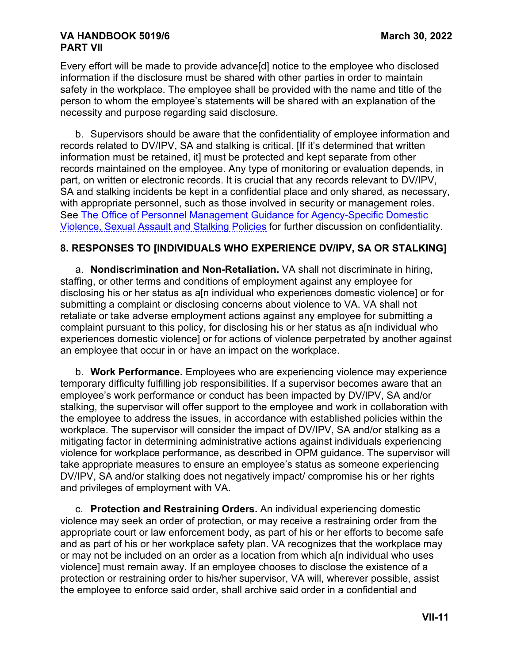Every effort will be made to provide advance[d] notice to the employee who disclosed information if the disclosure must be shared with other parties in order to maintain safety in the workplace. The employee shall be provided with the name and title of the person to whom the employee's statements will be shared with an explanation of the necessity and purpose regarding said disclosure.

b. Supervisors should be aware that the confidentiality of employee information and records related to DV/IPV, SA and stalking is critical. [If it's determined that written information must be retained, it] must be protected and kept separate from other records maintained on the employee. Any type of monitoring or evaluation depends, in part, on written or electronic records. It is crucial that any records relevant to DV/IPV, SA and stalking incidents be kept in a confidential place and only shared, as necessary, with appropriate personnel, such as those involved in security or management roles. See [The Office of Personnel Management Guidance for Agency-Specific Domestic](https://www.opm.gov/policy-data-oversight/worklife/news/2013/2/opm-guide-for-agency-specific-domestic-violence-sexual-assault-and-stalking-policies-released/)  [Violence, Sexual Assault and Stalking Policies](https://www.opm.gov/policy-data-oversight/worklife/news/2013/2/opm-guide-for-agency-specific-domestic-violence-sexual-assault-and-stalking-policies-released/) for further discussion on confidentiality.

### **8. RESPONSES TO [INDIVIDUALS WHO EXPERIENCE DV/IPV, SA OR STALKING]**

a. **Nondiscrimination and Non-Retaliation.** VA shall not discriminate in hiring, staffing, or other terms and conditions of employment against any employee for disclosing his or her status as a[n individual who experiences domestic violence] or for submitting a complaint or disclosing concerns about violence to VA. VA shall not retaliate or take adverse employment actions against any employee for submitting a complaint pursuant to this policy, for disclosing his or her status as a[n individual who experiences domestic violence] or for actions of violence perpetrated by another against an employee that occur in or have an impact on the workplace.

b. **Work Performance.** Employees who are experiencing violence may experience temporary difficulty fulfilling job responsibilities. If a supervisor becomes aware that an employee's work performance or conduct has been impacted by DV/IPV, SA and/or stalking, the supervisor will offer support to the employee and work in collaboration with the employee to address the issues, in accordance with established policies within the workplace. The supervisor will consider the impact of DV/IPV, SA and/or stalking as a mitigating factor in determining administrative actions against individuals experiencing violence for workplace performance, as described in OPM guidance. The supervisor will take appropriate measures to ensure an employee's status as someone experiencing DV/IPV, SA and/or stalking does not negatively impact/ compromise his or her rights and privileges of employment with VA.

c. **Protection and Restraining Orders.** An individual experiencing domestic violence may seek an order of protection, or may receive a restraining order from the appropriate court or law enforcement body, as part of his or her efforts to become safe and as part of his or her workplace safety plan. VA recognizes that the workplace may or may not be included on an order as a location from which a[n individual who uses violence] must remain away. If an employee chooses to disclose the existence of a protection or restraining order to his/her supervisor, VA will, wherever possible, assist the employee to enforce said order, shall archive said order in a confidential and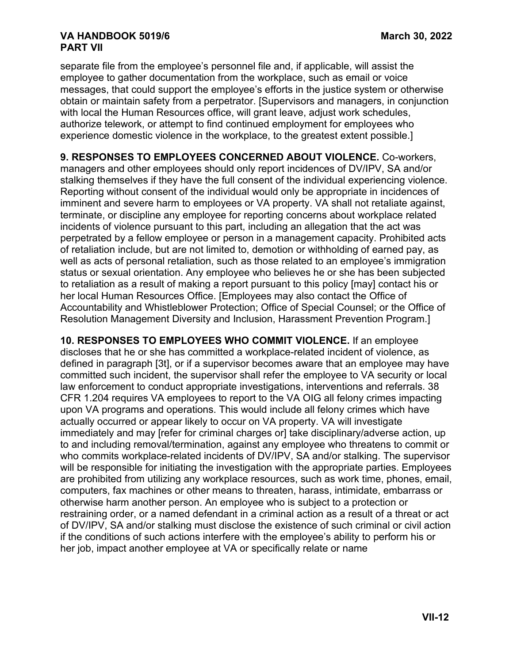separate file from the employee's personnel file and, if applicable, will assist the employee to gather documentation from the workplace, such as email or voice messages, that could support the employee's efforts in the justice system or otherwise obtain or maintain safety from a perpetrator. [Supervisors and managers, in conjunction with local the Human Resources office, will grant leave, adjust work schedules, authorize telework, or attempt to find continued employment for employees who experience domestic violence in the workplace, to the greatest extent possible.]

**9. RESPONSES TO EMPLOYEES CONCERNED ABOUT VIOLENCE.** Co-workers, managers and other employees should only report incidences of DV/IPV, SA and/or stalking themselves if they have the full consent of the individual experiencing violence. Reporting without consent of the individual would only be appropriate in incidences of imminent and severe harm to employees or VA property. VA shall not retaliate against, terminate, or discipline any employee for reporting concerns about workplace related incidents of violence pursuant to this part, including an allegation that the act was perpetrated by a fellow employee or person in a management capacity. Prohibited acts of retaliation include, but are not limited to, demotion or withholding of earned pay, as well as acts of personal retaliation, such as those related to an employee's immigration status or sexual orientation. Any employee who believes he or she has been subjected to retaliation as a result of making a report pursuant to this policy [may] contact his or her local Human Resources Office. [Employees may also contact the Office of Accountability and Whistleblower Protection; Office of Special Counsel; or the Office of Resolution Management Diversity and Inclusion, Harassment Prevention Program.]

**10. RESPONSES TO EMPLOYEES WHO COMMIT VIOLENCE.** If an employee discloses that he or she has committed a workplace-related incident of violence, as defined in paragraph [3t], or if a supervisor becomes aware that an employee may have committed such incident, the supervisor shall refer the employee to VA security or local law enforcement to conduct appropriate investigations, interventions and referrals. 38 CFR 1.204 requires VA employees to report to the VA OIG all felony crimes impacting upon VA programs and operations. This would include all felony crimes which have actually occurred or appear likely to occur on VA property. VA will investigate immediately and may [refer for criminal charges or] take disciplinary/adverse action, up to and including removal/termination, against any employee who threatens to commit or who commits workplace-related incidents of DV/IPV, SA and/or stalking. The supervisor will be responsible for initiating the investigation with the appropriate parties. Employees are prohibited from utilizing any workplace resources, such as work time, phones, email, computers, fax machines or other means to threaten, harass, intimidate, embarrass or otherwise harm another person. An employee who is subject to a protection or restraining order, or a named defendant in a criminal action as a result of a threat or act of DV/IPV, SA and/or stalking must disclose the existence of such criminal or civil action if the conditions of such actions interfere with the employee's ability to perform his or her job, impact another employee at VA or specifically relate or name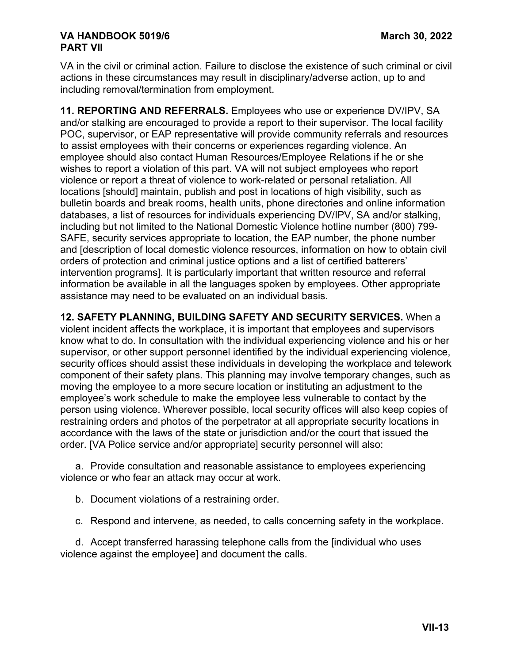VA in the civil or criminal action. Failure to disclose the existence of such criminal or civil actions in these circumstances may result in disciplinary/adverse action, up to and including removal/termination from employment.

**11. REPORTING AND REFERRALS.** Employees who use or experience DV/IPV, SA and/or stalking are encouraged to provide a report to their supervisor. The local facility POC, supervisor, or EAP representative will provide community referrals and resources to assist employees with their concerns or experiences regarding violence. An employee should also contact Human Resources/Employee Relations if he or she wishes to report a violation of this part. VA will not subject employees who report violence or report a threat of violence to work-related or personal retaliation. All locations [should] maintain, publish and post in locations of high visibility, such as bulletin boards and break rooms, health units, phone directories and online information databases, a list of resources for individuals experiencing DV/IPV, SA and/or stalking, including but not limited to the National Domestic Violence hotline number (800) 799- SAFE, security services appropriate to location, the EAP number, the phone number and [description of local domestic violence resources, information on how to obtain civil orders of protection and criminal justice options and a list of certified batterers' intervention programs]. It is particularly important that written resource and referral information be available in all the languages spoken by employees. Other appropriate assistance may need to be evaluated on an individual basis.

**12. SAFETY PLANNING, BUILDING SAFETY AND SECURITY SERVICES.** When a violent incident affects the workplace, it is important that employees and supervisors know what to do. In consultation with the individual experiencing violence and his or her supervisor, or other support personnel identified by the individual experiencing violence, security offices should assist these individuals in developing the workplace and telework component of their safety plans. This planning may involve temporary changes, such as moving the employee to a more secure location or instituting an adjustment to the employee's work schedule to make the employee less vulnerable to contact by the person using violence. Wherever possible, local security offices will also keep copies of restraining orders and photos of the perpetrator at all appropriate security locations in accordance with the laws of the state or jurisdiction and/or the court that issued the order. [VA Police service and/or appropriate] security personnel will also:

a. Provide consultation and reasonable assistance to employees experiencing violence or who fear an attack may occur at work.

b. Document violations of a restraining order.

c. Respond and intervene, as needed, to calls concerning safety in the workplace.

d. Accept transferred harassing telephone calls from the [individual who uses violence against the employee] and document the calls.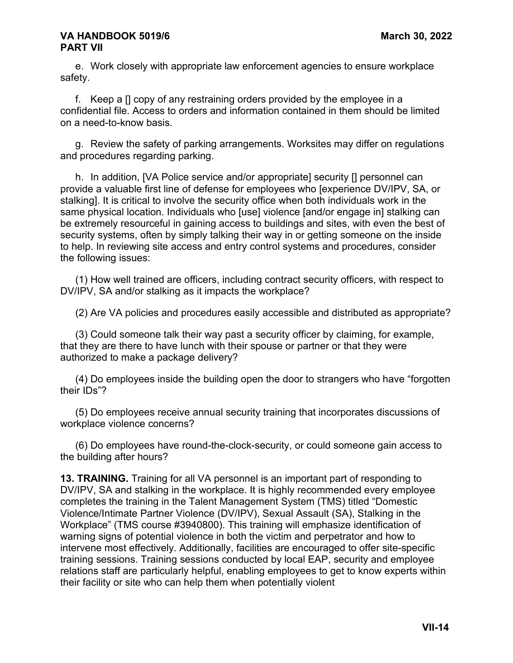e. Work closely with appropriate law enforcement agencies to ensure workplace safety.

f. Keep a [] copy of any restraining orders provided by the employee in a confidential file. Access to orders and information contained in them should be limited on a need-to-know basis.

g. Review the safety of parking arrangements. Worksites may differ on regulations and procedures regarding parking.

h. In addition, [VA Police service and/or appropriate] security [] personnel can provide a valuable first line of defense for employees who [experience DV/IPV, SA, or stalking]. It is critical to involve the security office when both individuals work in the same physical location. Individuals who [use] violence [and/or engage in] stalking can be extremely resourceful in gaining access to buildings and sites, with even the best of security systems, often by simply talking their way in or getting someone on the inside to help. In reviewing site access and entry control systems and procedures, consider the following issues:

(1) How well trained are officers, including contract security officers, with respect to DV/IPV, SA and/or stalking as it impacts the workplace?

(2) Are VA policies and procedures easily accessible and distributed as appropriate?

(3) Could someone talk their way past a security officer by claiming, for example, that they are there to have lunch with their spouse or partner or that they were authorized to make a package delivery?

(4) Do employees inside the building open the door to strangers who have "forgotten their IDs"?

(5) Do employees receive annual security training that incorporates discussions of workplace violence concerns?

(6) Do employees have round-the-clock-security, or could someone gain access to the building after hours?

**13. TRAINING.** Training for all VA personnel is an important part of responding to DV/IPV, SA and stalking in the workplace. It is highly recommended every employee completes the training in the Talent Management System (TMS) titled "Domestic Violence/Intimate Partner Violence (DV/IPV), Sexual Assault (SA), Stalking in the Workplace" (TMS course #3940800). This training will emphasize identification of warning signs of potential violence in both the victim and perpetrator and how to intervene most effectively. Additionally, facilities are encouraged to offer site-specific training sessions. Training sessions conducted by local EAP, security and employee relations staff are particularly helpful, enabling employees to get to know experts within their facility or site who can help them when potentially violent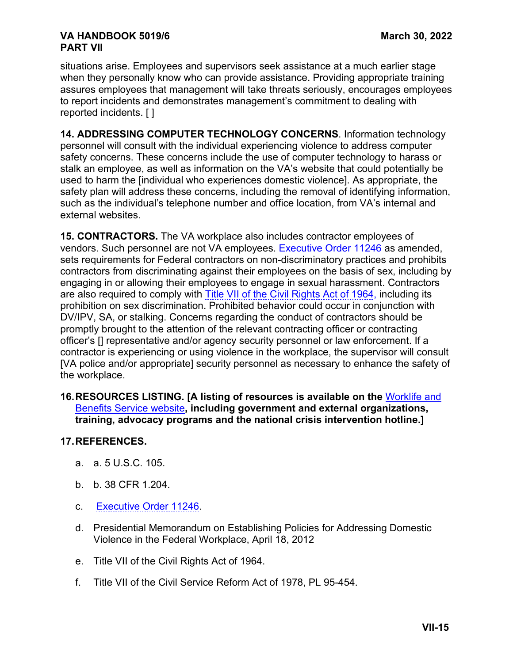situations arise. Employees and supervisors seek assistance at a much earlier stage when they personally know who can provide assistance. Providing appropriate training assures employees that management will take threats seriously, encourages employees to report incidents and demonstrates management's commitment to dealing with reported incidents. [ ]

**14. ADDRESSING COMPUTER TECHNOLOGY CONCERNS**. Information technology personnel will consult with the individual experiencing violence to address computer safety concerns. These concerns include the use of computer technology to harass or stalk an employee, as well as information on the VA's website that could potentially be used to harm the [individual who experiences domestic violence]. As appropriate, the safety plan will address these concerns, including the removal of identifying information, such as the individual's telephone number and office location, from VA's internal and external websites.

**15. CONTRACTORS.** The VA workplace also includes contractor employees of vendors. Such personnel are not VA employees. [Executive Order 11246](https://www.dol.gov/agencies/ofccp/executive-order-11246/ca-11246) as amended, sets requirements for Federal contractors on non-discriminatory practices and prohibits contractors from discriminating against their employees on the basis of sex, including by engaging in or allowing their employees to engage in sexual harassment. Contractors are also required to comply with [Title VII of the Civil Rights Act of 1964,](http://www.eeoc.gov/laws/statutes/titlevii.cfm) including its prohibition on sex discrimination. Prohibited behavior could occur in conjunction with DV/IPV, SA, or stalking. Concerns regarding the conduct of contractors should be promptly brought to the attention of the relevant contracting officer or contracting officer's [] representative and/or agency security personnel or law enforcement. If a contractor is experiencing or using violence in the workplace, the supervisor will consult [VA police and/or appropriate] security personnel as necessary to enhance the safety of the workplace.

#### **16.RESOURCES LISTING. [A listing of resources is available on the** [Worklife and](https://vaww.va.gov/OHRM/WorkLife/Domestic_Violence.asp)  [Benefits Service website](https://vaww.va.gov/OHRM/WorkLife/Domestic_Violence.asp)**, including government and external organizations, training, advocacy programs and the national crisis intervention hotline.]**

# **17.REFERENCES.**

- a. a. 5 U.S.C. 105.
- b. b. 38 CFR 1.204.
- c. [Executive Order 11246.](http://www.dol.gov/ofccp/regs/compliance/fs11246.htm)
- d. Presidential Memorandum on Establishing Policies for Addressing Domestic Violence in the Federal Workplace, April 18, 2012
- e. Title VII of the Civil Rights Act of 1964.
- f. Title VII of the Civil Service Reform Act of 1978, PL 95-454.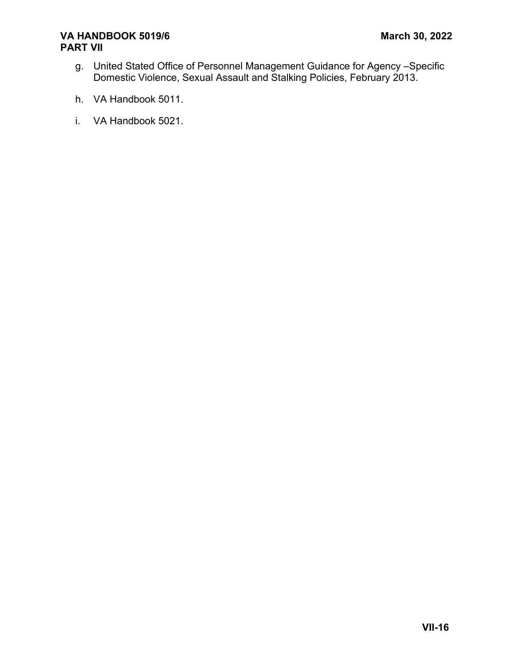- g. United Stated Office of Personnel Management Guidance for Agency –Specific Domestic Violence, Sexual Assault and Stalking Policies, February 2013.
- h. VA Handbook 5011.
- i. VA Handbook 5021.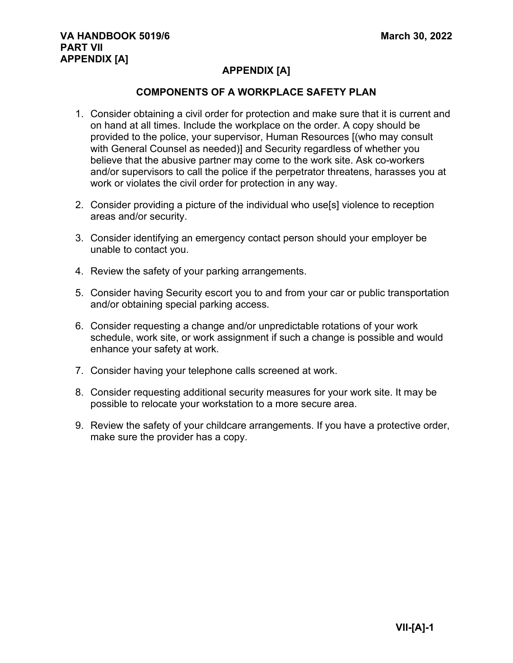# **APPENDIX [A]**

#### **COMPONENTS OF A WORKPLACE SAFETY PLAN**

- 1. Consider obtaining a civil order for protection and make sure that it is current and on hand at all times. Include the workplace on the order. A copy should be provided to the police, your supervisor, Human Resources [(who may consult with General Counsel as needed)] and Security regardless of whether you believe that the abusive partner may come to the work site. Ask co-workers and/or supervisors to call the police if the perpetrator threatens, harasses you at work or violates the civil order for protection in any way.
- 2. Consider providing a picture of the individual who use[s] violence to reception areas and/or security.
- 3. Consider identifying an emergency contact person should your employer be unable to contact you.
- 4. Review the safety of your parking arrangements.
- 5. Consider having Security escort you to and from your car or public transportation and/or obtaining special parking access.
- 6. Consider requesting a change and/or unpredictable rotations of your work schedule, work site, or work assignment if such a change is possible and would enhance your safety at work.
- 7. Consider having your telephone calls screened at work.
- 8. Consider requesting additional security measures for your work site. It may be possible to relocate your workstation to a more secure area.
- 9. Review the safety of your childcare arrangements. If you have a protective order, make sure the provider has a copy.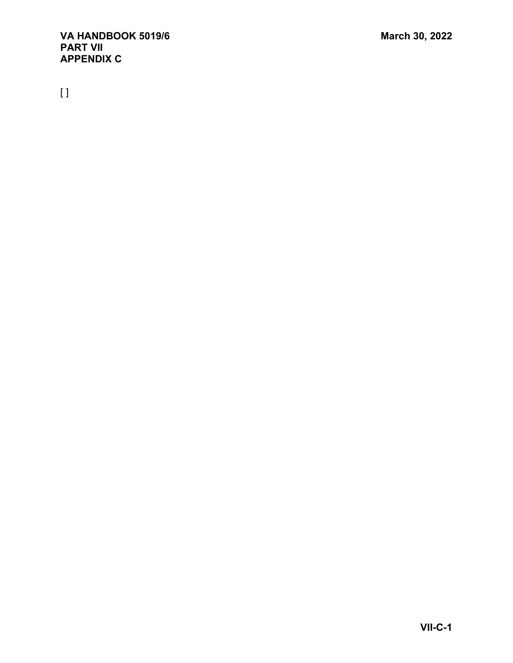#### **VA HANDBOOK 5019/6 March 30, 2022 PART VII APPENDIX C**

 $[ \ ]$